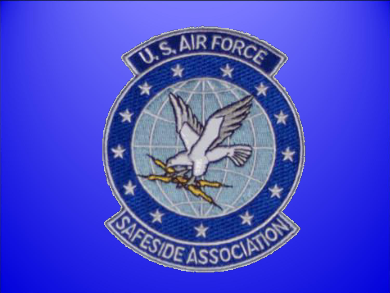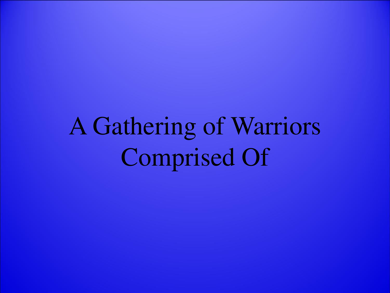# A Gathering of Warriors Comprised Of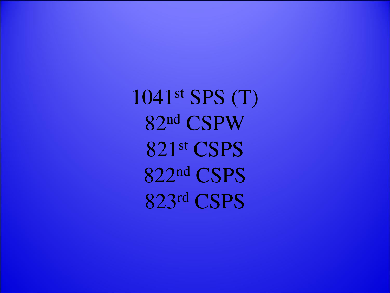st SPS (T) nd CSPW st CSPS nd CSPS rd CSPS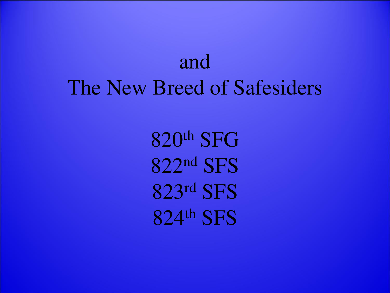# and The New Breed of Safesiders

th SFG nd SFS rd SFS th SFS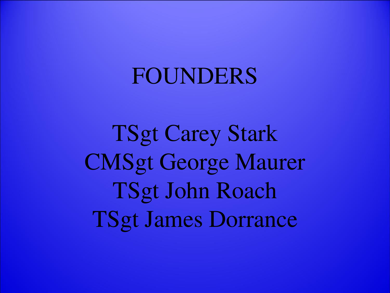# FOUNDERS

TSgt Carey Stark CMSgt George Maurer TSgt John Roach TSgt James Dorrance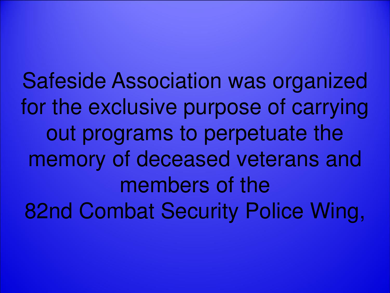Safeside Association was organized for the exclusive purpose of carrying out programs to perpetuate the memory of deceased veterans and members of the 82nd Combat Security Police Wing,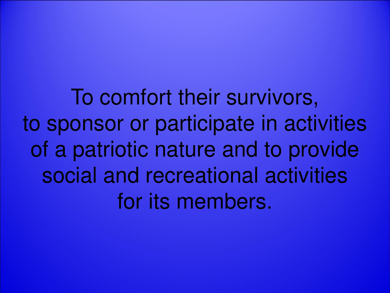To comfort their survivors, to sponsor or participate in activities of a patriotic nature and to provide social and recreational activities for its members.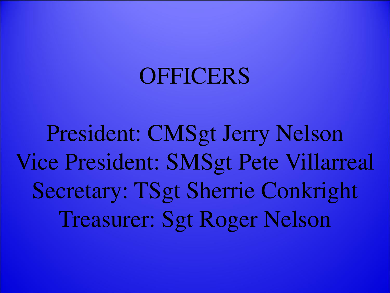# **OFFICERS**

President: CMSgt Jerry Nelson Vice President: SMSgt Pete Villarreal Secretary: TSgt Sherrie Conkright Treasurer: Sgt Roger Nelson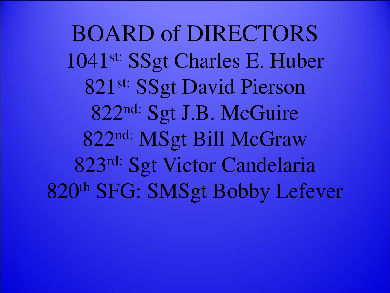BOARD of DIRECTORS 1041st: SSgt Charles E. Huber 821<sup>st:</sup> SSgt David Pierson 822<sup>nd:</sup> Sgt J.B. McGuire 822nd: MSgt Bill McGraw 823rd: Sgt Victor Candelaria 820th SFG: SMSgt Bobby Lefever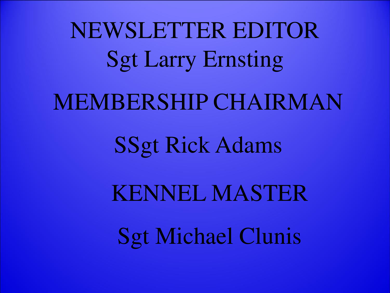NEWSLETTER EDITOR Sgt Larry Ernsting MEMBERSHIP CHAIRMAN SSgt Rick Adams

> KENNEL MASTER Sgt Michael Clunis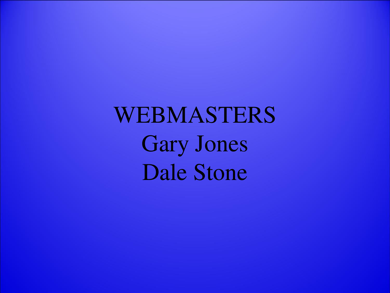WEBMASTERS Gary Jones Dale Stone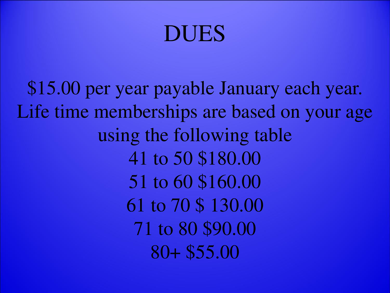# DUES

\$15.00 per year payable January each year. Life time memberships are based on your age using the following table 41 to 50 \$180.00 51 to 60 \$160.00 61 to 70 \$ 130.00 71 to 80 \$90.00 80+ \$55.00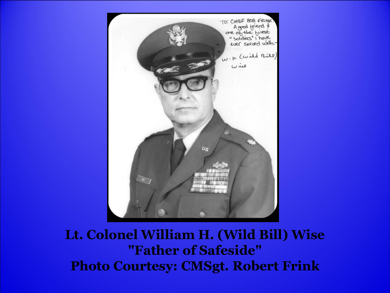

#### **Lt. Colonel William H. (Wild Bill) Wise "Father of Safeside" Photo Courtesy: CMSgt. Robert Frink**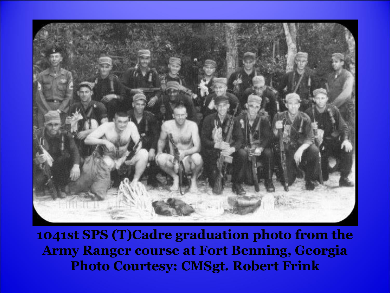

**1041st SPS (T)Cadre graduation photo from the Army Ranger course at Fort Benning, Georgia Photo Courtesy: CMSgt. Robert Frink**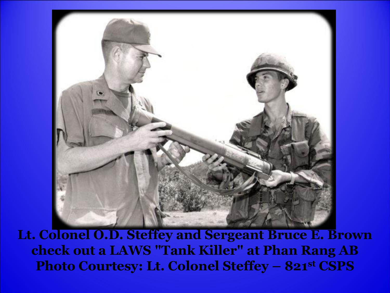

Lt. Colonel O.D. Steffey and Sergeant Bruce E. Brown check out a LAWS "Tank Killer" at Phan Rang AB Photo Courtesy: Lt. Colonel Steffey - 821st CSPS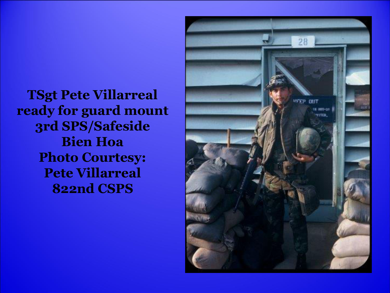**TSgt Pete Villarreal** ready for guard mount 3rd SPS/Safeside **Bien Hoa Photo Courtesy: Pete Villarreal 822nd CSPS** 

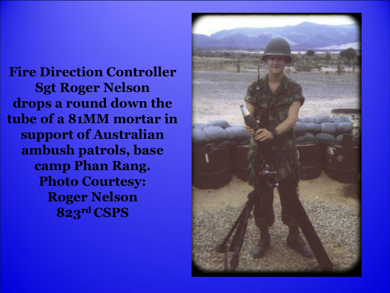**Fire Direction Controller Sgt Roger Nelson drops a round down the tube of a 81MM mortar in support of Australian ambush patrols, base camp Phan Rang. Photo Courtesy: Roger Nelson 823rd CSPS** 

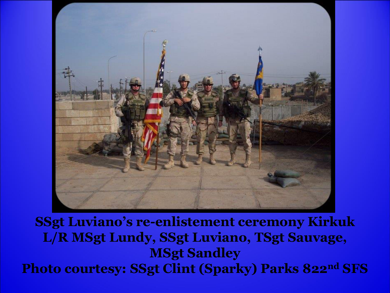

**SSgt Luviano's re-enlistement ceremony Kirkuk L/R MSgt Lundy, SSgt Luviano, TSgt Sauvage, MSgt Sandley Photo courtesy: SSgt Clint (Sparky) Parks 822nd SFS**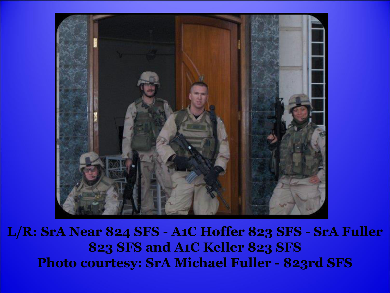

**L/R: SrA Near 824 SFS - A1C Hoffer 823 SFS - SrA Fuller 823 SFS and A1C Keller 823 SFS Photo courtesy: SrA Michael Fuller - 823rd SFS**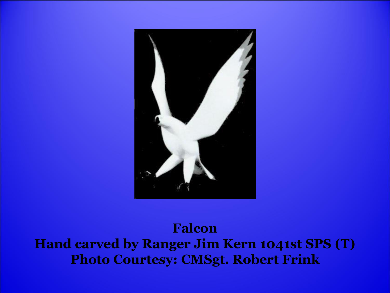

#### **Falcon Hand carved by Ranger Jim Kern 1041st SPS (T) Photo Courtesy: CMSgt. Robert Frink**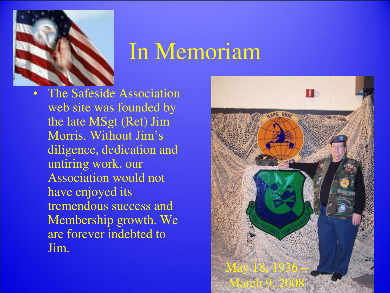

## In Memoriam

The Safeside Association web site was founded by the late MSgt (Ret) Jim Morris. Without Jim's diligence, dedication and untiring work, our Association would not have enjoyed its tremendous success and Membership growth. We are forever indebted to Jim.

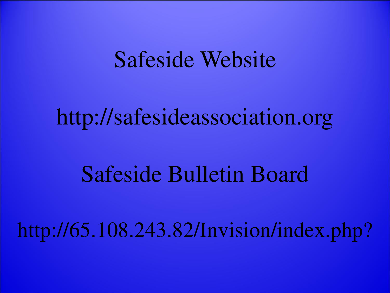### Safeside Website

# http://safesideassociation.org

# Safeside Bulletin Board

# http://65.108.243.82/Invision/index.php?